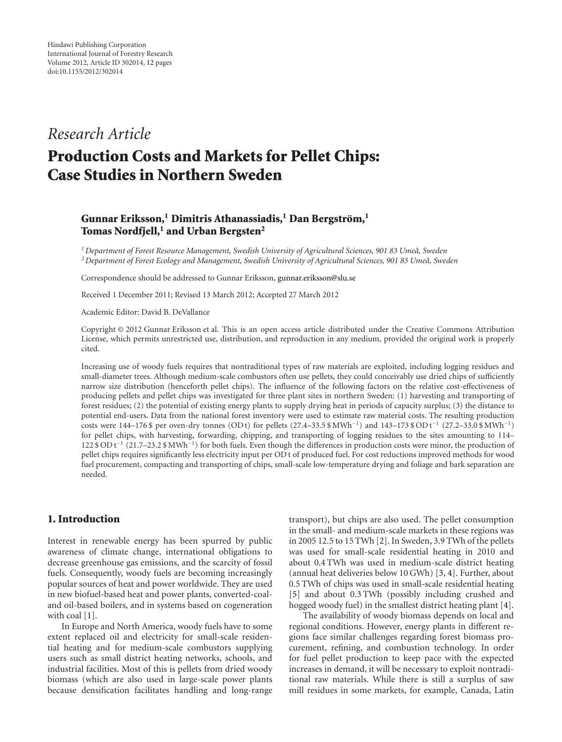# *Research Article*

# **Production Costs and Markets for Pellet Chips: Case Studies in Northern Sweden**

# **Gunnar Eriksson,1 Dimitris Athanassiadis,1 Dan Bergstrom, ¨ <sup>1</sup>** Tomas Nordfjell,<sup>1</sup> and Urban Bergsten<sup>2</sup>

*1Department of Forest Resource Management, Swedish University of Agricultural Sciences, 901 83 Umea, Sweden ˚ 2Department of Forest Ecology and Management, Swedish University of Agricultural Sciences, 901 83 Umea, Sweden ˚*

Correspondence should be addressed to Gunnar Eriksson, gunnar.eriksson@slu.se

Received 1 December 2011; Revised 13 March 2012; Accepted 27 March 2012

Academic Editor: David B. DeVallance

Copyright © 2012 Gunnar Eriksson et al. This is an open access article distributed under the Creative Commons Attribution License, which permits unrestricted use, distribution, and reproduction in any medium, provided the original work is properly cited.

Increasing use of woody fuels requires that nontraditional types of raw materials are exploited, including logging residues and small-diameter trees. Although medium-scale combustors often use pellets, they could conceivably use dried chips of sufficiently narrow size distribution (henceforth pellet chips). The influence of the following factors on the relative cost-effectiveness of producing pellets and pellet chips was investigated for three plant sites in northern Sweden: (1) harvesting and transporting of forest residues; (2) the potential of existing energy plants to supply drying heat in periods of capacity surplus; (3) the distance to potential end-users. Data from the national forest inventory were used to estimate raw material costs. The resulting production costs were 144–176 \$ per oven-dry tonnes (OD t) for pellets  $(27.4–33.5 \text{ s} \text{MWh}^{-1})$  and  $143–173 \text{ s} \text{OD t}^{-1}$   $(27.2–33.0 \text{ s} \text{MWh}^{-1})$ for pellet chips, with harvesting, forwarding, chipping, and transporting of logging residues to the sites amounting to 114– 122 \$ OD t−<sup>1</sup> (21.7–23.2 \$ MWh−1) for both fuels. Even though the differences in production costs were minor, the production of pellet chips requires significantly less electricity input per OD t of produced fuel. For cost reductions improved methods for wood fuel procurement, compacting and transporting of chips, small-scale low-temperature drying and foliage and bark separation are needed.

# **1. Introduction**

Interest in renewable energy has been spurred by public awareness of climate change, international obligations to decrease greenhouse gas emissions, and the scarcity of fossil fuels. Consequently, woody fuels are becoming increasingly popular sources of heat and power worldwide. They are used in new biofuel-based heat and power plants, converted-coaland oil-based boilers, and in systems based on cogeneration with coal [1].

In Europe and North America, woody fuels have to some extent replaced oil and electricity for small-scale residential heating and for medium-scale combustors supplying users such as small district heating networks, schools, and industrial facilities. Most of this is pellets from dried woody biomass (which are also used in large-scale power plants because densification facilitates handling and long-range transport), but chips are also used. The pellet consumption in the small- and medium-scale markets in these regions was in 2005 12.5 to 15 TWh [2]. In Sweden, 3.9 TWh of the pellets was used for small-scale residential heating in 2010 and about 0.4 TWh was used in medium-scale district heating (annual heat deliveries below 10 GWh) [3, 4]. Further, about 0.5 TWh of chips was used in small-scale residential heating [5] and about 0.3 TWh (possibly including crushed and hogged woody fuel) in the smallest district heating plant [4].

The availability of woody biomass depends on local and regional conditions. However, energy plants in different regions face similar challenges regarding forest biomass procurement, refining, and combustion technology. In order for fuel pellet production to keep pace with the expected increases in demand, it will be necessary to exploit nontraditional raw materials. While there is still a surplus of saw mill residues in some markets, for example, Canada, Latin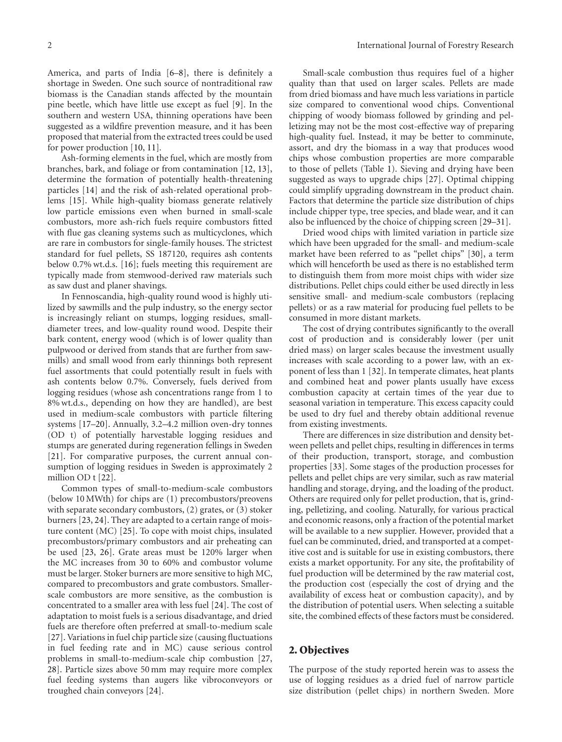America, and parts of India [6–8], there is definitely a shortage in Sweden. One such source of nontraditional raw biomass is the Canadian stands affected by the mountain pine beetle, which have little use except as fuel [9]. In the southern and western USA, thinning operations have been suggested as a wildfire prevention measure, and it has been proposed that material from the extracted trees could be used for power production [10, 11]*.*

Ash-forming elements in the fuel, which are mostly from branches, bark, and foliage or from contamination [12, 13], determine the formation of potentially health-threatening particles [14] and the risk of ash-related operational problems [15]. While high-quality biomass generate relatively low particle emissions even when burned in small-scale combustors, more ash-rich fuels require combustors fitted with flue gas cleaning systems such as multicyclones, which are rare in combustors for single-family houses. The strictest standard for fuel pellets, SS 187120, requires ash contents below 0.7% wt.d.s. [16]; fuels meeting this requirement are typically made from stemwood-derived raw materials such as saw dust and planer shavings.

In Fennoscandia, high-quality round wood is highly utilized by sawmills and the pulp industry, so the energy sector is increasingly reliant on stumps, logging residues, smalldiameter trees, and low-quality round wood. Despite their bark content, energy wood (which is of lower quality than pulpwood or derived from stands that are further from sawmills) and small wood from early thinnings both represent fuel assortments that could potentially result in fuels with ash contents below 0.7%. Conversely, fuels derived from logging residues (whose ash concentrations range from 1 to 8% wt.d.s., depending on how they are handled), are best used in medium-scale combustors with particle filtering systems [17–20]. Annually, 3.2–4.2 million oven-dry tonnes (OD t) of potentially harvestable logging residues and stumps are generated during regeneration fellings in Sweden [21]. For comparative purposes, the current annual consumption of logging residues in Sweden is approximately 2 million OD t [22].

Common types of small-to-medium-scale combustors (below 10 MWth) for chips are (1) precombustors/preovens with separate secondary combustors, (2) grates, or (3) stoker burners [23, 24]. They are adapted to a certain range of moisture content (MC) [25]. To cope with moist chips, insulated precombustors/primary combustors and air preheating can be used [23, 26]. Grate areas must be 120% larger when the MC increases from 30 to 60% and combustor volume must be larger. Stoker burners are more sensitive to high MC, compared to precombustors and grate combustors. Smallerscale combustors are more sensitive, as the combustion is concentrated to a smaller area with less fuel [24]. The cost of adaptation to moist fuels is a serious disadvantage, and dried fuels are therefore often preferred at small-to-medium scale [27]. Variations in fuel chip particle size (causing fluctuations in fuel feeding rate and in MC) cause serious control problems in small-to-medium-scale chip combustion [27, 28]. Particle sizes above 50 mm may require more complex fuel feeding systems than augers like vibroconveyors or troughed chain conveyors [24].

Small-scale combustion thus requires fuel of a higher quality than that used on larger scales. Pellets are made from dried biomass and have much less variations in particle size compared to conventional wood chips. Conventional chipping of woody biomass followed by grinding and pelletizing may not be the most cost-effective way of preparing high-quality fuel. Instead, it may be better to comminute, assort, and dry the biomass in a way that produces wood chips whose combustion properties are more comparable to those of pellets (Table 1). Sieving and drying have been suggested as ways to upgrade chips [27]. Optimal chipping could simplify upgrading downstream in the product chain. Factors that determine the particle size distribution of chips include chipper type, tree species, and blade wear, and it can also be influenced by the choice of chipping screen [29–31].

Dried wood chips with limited variation in particle size which have been upgraded for the small- and medium-scale market have been referred to as "pellet chips" [30], a term which will henceforth be used as there is no established term to distinguish them from more moist chips with wider size distributions. Pellet chips could either be used directly in less sensitive small- and medium-scale combustors (replacing pellets) or as a raw material for producing fuel pellets to be consumed in more distant markets.

The cost of drying contributes significantly to the overall cost of production and is considerably lower (per unit dried mass) on larger scales because the investment usually increases with scale according to a power law, with an exponent of less than 1 [32]. In temperate climates, heat plants and combined heat and power plants usually have excess combustion capacity at certain times of the year due to seasonal variation in temperature. This excess capacity could be used to dry fuel and thereby obtain additional revenue from existing investments.

There are differences in size distribution and density between pellets and pellet chips, resulting in differences in terms of their production, transport, storage, and combustion properties [33]. Some stages of the production processes for pellets and pellet chips are very similar, such as raw material handling and storage, drying, and the loading of the product. Others are required only for pellet production, that is, grinding, pelletizing, and cooling. Naturally, for various practical and economic reasons, only a fraction of the potential market will be available to a new supplier. However, provided that a fuel can be comminuted, dried, and transported at a competitive cost and is suitable for use in existing combustors, there exists a market opportunity. For any site, the profitability of fuel production will be determined by the raw material cost, the production cost (especially the cost of drying and the availability of excess heat or combustion capacity), and by the distribution of potential users. When selecting a suitable site, the combined effects of these factors must be considered.

#### **2. Objectives**

The purpose of the study reported herein was to assess the use of logging residues as a dried fuel of narrow particle size distribution (pellet chips) in northern Sweden. More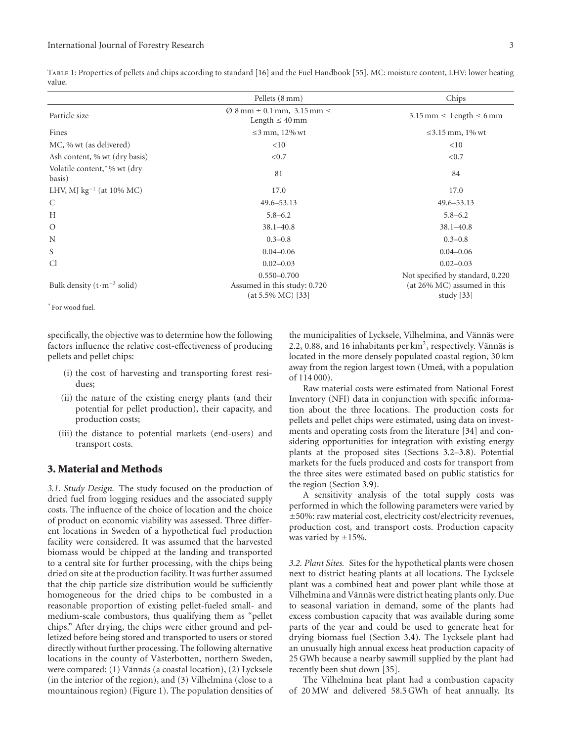Table 1: Properties of pellets and chips according to standard [16] and the Fuel Handbook [55]. MC: moisture content, LHV: lower heating value.

|                                               | Pellets (8 mm)                                                          | Chips                                                                              |  |  |
|-----------------------------------------------|-------------------------------------------------------------------------|------------------------------------------------------------------------------------|--|--|
| Particle size                                 | $\emptyset$ 8 mm ± 0.1 mm, 3.15 mm ≤<br>Length $\leq 40$ mm             | $3.15 \text{ mm} \leq$ Length $\leq 6 \text{ mm}$                                  |  |  |
| Fines                                         | $\leq$ 3 mm, 12% wt                                                     | ≤3.15 mm, 1% wt                                                                    |  |  |
| MC, % wt (as delivered)                       | <10                                                                     | <10                                                                                |  |  |
| Ash content, % wt (dry basis)                 | < 0.7                                                                   | < 0.7                                                                              |  |  |
| Volatile content, *% wt (dry<br>basis)        | 81                                                                      | 84                                                                                 |  |  |
| LHV, MJ $kg^{-1}$ (at 10% MC)                 | 17.0                                                                    | 17.0                                                                               |  |  |
| C                                             | 49.6–53.13                                                              | 49.6–53.13                                                                         |  |  |
| H                                             | $5.8 - 6.2$                                                             | $5.8 - 6.2$                                                                        |  |  |
| $\circ$                                       | $38.1 - 40.8$                                                           | $38.1 - 40.8$                                                                      |  |  |
| N                                             | $0.3 - 0.8$                                                             | $0.3 - 0.8$                                                                        |  |  |
| S                                             | $0.04 - 0.06$                                                           | $0.04 - 0.06$                                                                      |  |  |
| Cl                                            | $0.02 - 0.03$                                                           | $0.02 - 0.03$                                                                      |  |  |
| Bulk density $(t \cdot m^{-3} \text{ solid})$ | $0.550 - 0.700$<br>Assumed in this study: 0.720<br>$(at 5.5\% MC)$ [33] | Not specified by standard, 0.220<br>$(at 26\% MC)$ assumed in this<br>study $[33]$ |  |  |

∗ For wood fuel.

specifically, the objective was to determine how the following factors influence the relative cost-effectiveness of producing pellets and pellet chips:

- (i) the cost of harvesting and transporting forest residues;
- (ii) the nature of the existing energy plants (and their potential for pellet production), their capacity, and production costs;
- (iii) the distance to potential markets (end-users) and transport costs.

### **3. Material and Methods**

*3.1. Study Design.* The study focused on the production of dried fuel from logging residues and the associated supply costs. The influence of the choice of location and the choice of product on economic viability was assessed. Three different locations in Sweden of a hypothetical fuel production facility were considered. It was assumed that the harvested biomass would be chipped at the landing and transported to a central site for further processing, with the chips being dried on site at the production facility. It was further assumed that the chip particle size distribution would be sufficiently homogeneous for the dried chips to be combusted in a reasonable proportion of existing pellet-fueled small- and medium-scale combustors, thus qualifying them as "pellet chips." After drying, the chips were either ground and pelletized before being stored and transported to users or stored directly without further processing. The following alternative locations in the county of Västerbotten, northern Sweden, were compared: (1) Vännäs (a coastal location), (2) Lycksele (in the interior of the region), and (3) Vilhelmina (close to a mountainous region) (Figure 1). The population densities of

the municipalities of Lycksele, Vilhelmina, and Vännäs were 2.2, 0.88, and 16 inhabitants per  $km^2$ , respectively. Vännäs is located in the more densely populated coastal region, 30 km away from the region largest town (Umeå, with a population of 114 000).

Raw material costs were estimated from National Forest Inventory (NFI) data in conjunction with specific information about the three locations. The production costs for pellets and pellet chips were estimated, using data on investments and operating costs from the literature [34] and considering opportunities for integration with existing energy plants at the proposed sites (Sections 3.2–3.8). Potential markets for the fuels produced and costs for transport from the three sites were estimated based on public statistics for the region (Section 3.9).

A sensitivity analysis of the total supply costs was performed in which the following parameters were varied by ±50%: raw material cost, electricity cost/electricity revenues, production cost, and transport costs. Production capacity was varied by  $\pm 15%$ .

*3.2. Plant Sites.* Sites for the hypothetical plants were chosen next to district heating plants at all locations. The Lycksele plant was a combined heat and power plant while those at Vilhelmina and Vännäs were district heating plants only. Due to seasonal variation in demand, some of the plants had excess combustion capacity that was available during some parts of the year and could be used to generate heat for drying biomass fuel (Section 3.4). The Lycksele plant had an unusually high annual excess heat production capacity of 25 GWh because a nearby sawmill supplied by the plant had recently been shut down [35].

The Vilhelmina heat plant had a combustion capacity of 20 MW and delivered 58.5 GWh of heat annually. Its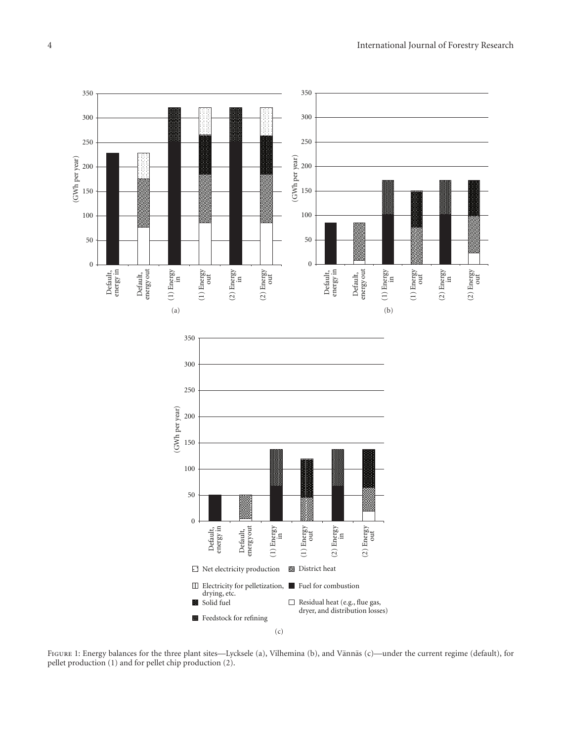

FIGURE 1: Energy balances for the three plant sites—Lycksele (a), Vilhemina (b), and Vännäs (c)—under the current regime (default), for pellet production (1) and for pellet chip production (2).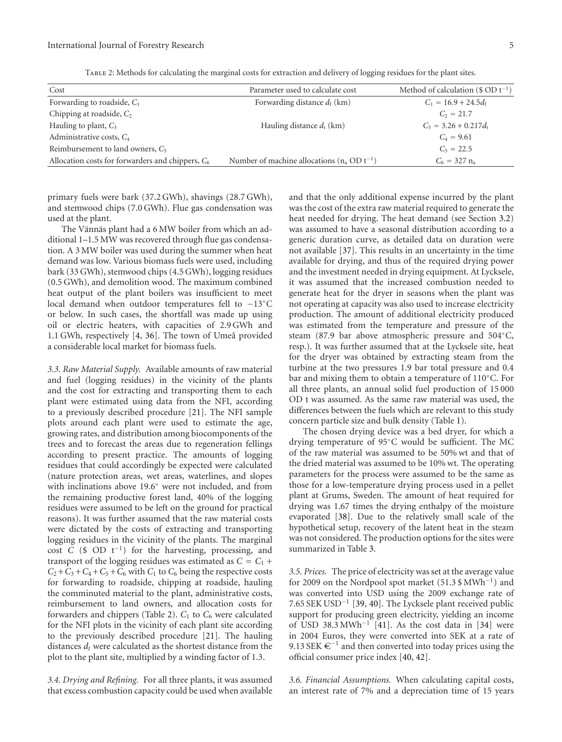| Cost                                                | Parameter used to calculate cost                | Method of calculation $(\$$ OD $t^{-1})$ |
|-----------------------------------------------------|-------------------------------------------------|------------------------------------------|
| Forwarding to roadside, $C_1$                       | Forwarding distance $d_f$ (km)                  | $C_1 = 16.9 + 24.5d_f$                   |
| Chipping at roadside, $C_2$                         |                                                 | $C_2 = 21.7$                             |
| Hauling to plant, $C_3$                             | Hauling distance $d_t$ (km)                     | $C_3 = 3.26 + 0.217d_t$                  |
| Administrative costs, $C_4$                         |                                                 | $C_4 = 9.61$                             |
| Reimbursement to land owners, $C_5$                 |                                                 | $C_5 = 22.5$                             |
| Allocation costs for forwarders and chippers, $C_6$ | Number of machine allocations $(n_a OD t^{-1})$ | $C_6 = 327$ n <sub>a</sub>               |

Table 2: Methods for calculating the marginal costs for extraction and delivery of logging residues for the plant sites.

primary fuels were bark (37.2 GWh), shavings (28.7 GWh), and stemwood chips (7.0 GWh). Flue gas condensation was used at the plant.

The Vännäs plant had a 6 MW boiler from which an additional 1–1.5 MW was recovered through flue gas condensation. A 3 MW boiler was used during the summer when heat demand was low. Various biomass fuels were used, including bark (33 GWh), stemwood chips (4.5 GWh), logging residues (0.5 GWh), and demolition wood. The maximum combined heat output of the plant boilers was insufficient to meet local demand when outdoor temperatures fell to −13◦C or below. In such cases, the shortfall was made up using oil or electric heaters, with capacities of 2.9 GWh and 1.1 GWh, respectively [4, 36]. The town of Umeå provided a considerable local market for biomass fuels.

*3.3. Raw Material Supply.* Available amounts of raw material and fuel (logging residues) in the vicinity of the plants and the cost for extracting and transporting them to each plant were estimated using data from the NFI, according to a previously described procedure [21]. The NFI sample plots around each plant were used to estimate the age, growing rates, and distribution among biocomponents of the trees and to forecast the areas due to regeneration fellings according to present practice. The amounts of logging residues that could accordingly be expected were calculated (nature protection areas, wet areas, waterlines, and slopes with inclinations above 19.6◦ were not included, and from the remaining productive forest land, 40% of the logging residues were assumed to be left on the ground for practical reasons). It was further assumed that the raw material costs were dictated by the costs of extracting and transporting logging residues in the vicinity of the plants. The marginal cost *C* (\$ OD t−1) for the harvesting, processing, and transport of the logging residues was estimated as  $C = C_1 +$  $C_2 + C_3 + C_4 + C_5 + C_6$  with  $C_1$  to  $C_6$  being the respective costs for forwarding to roadside, chipping at roadside, hauling the comminuted material to the plant, administrative costs, reimbursement to land owners, and allocation costs for forwarders and chippers (Table 2).  $C_1$  to  $C_6$  were calculated for the NFI plots in the vicinity of each plant site according to the previously described procedure [21]. The hauling distances  $d_t$  were calculated as the shortest distance from the plot to the plant site, multiplied by a winding factor of 1.3.

*3.4. Drying and Refining.* For all three plants, it was assumed that excess combustion capacity could be used when available

and that the only additional expense incurred by the plant was the cost of the extra raw material required to generate the heat needed for drying. The heat demand (see Section 3.2) was assumed to have a seasonal distribution according to a generic duration curve, as detailed data on duration were not available [37]. This results in an uncertainty in the time available for drying, and thus of the required drying power and the investment needed in drying equipment. At Lycksele, it was assumed that the increased combustion needed to generate heat for the dryer in seasons when the plant was not operating at capacity was also used to increase electricity production. The amount of additional electricity produced was estimated from the temperature and pressure of the steam (87.9 bar above atmospheric pressure and 504◦C, resp.). It was further assumed that at the Lycksele site, heat for the dryer was obtained by extracting steam from the turbine at the two pressures 1.9 bar total pressure and 0.4 bar and mixing them to obtain a temperature of 110◦C. For all three plants, an annual solid fuel production of 15 000 OD t was assumed. As the same raw material was used, the differences between the fuels which are relevant to this study concern particle size and bulk density (Table 1).

The chosen drying device was a bed dryer, for which a drying temperature of 95◦C would be sufficient. The MC of the raw material was assumed to be 50% wt and that of the dried material was assumed to be 10% wt. The operating parameters for the process were assumed to be the same as those for a low-temperature drying process used in a pellet plant at Grums, Sweden. The amount of heat required for drying was 1.67 times the drying enthalpy of the moisture evaporated [38]. Due to the relatively small scale of the hypothetical setup, recovery of the latent heat in the steam was not considered. The production options for the sites were summarized in Table 3.

*3.5. Prices.* The price of electricity was set at the average value for 2009 on the Nordpool spot market (51.3 \$ MWh−1) and was converted into USD using the 2009 exchange rate of 7.65 SEK USD−<sup>1</sup> [39, 40]. The Lycksele plant received public support for producing green electricity, yielding an income of USD 38.3 MWh<sup>-1</sup> [41]. As the cost data in [34] were in 2004 Euros, they were converted into SEK at a rate of 9.13 SEK  $\epsilon^{-1}$  and then converted into today prices using the official consumer price index [40, 42].

*3.6. Financial Assumptions.* When calculating capital costs, an interest rate of 7% and a depreciation time of 15 years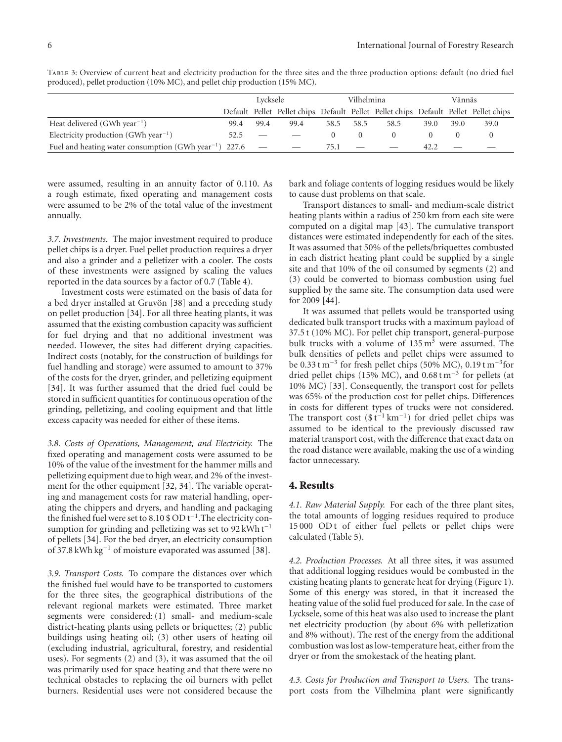Lycksele Vilhelmina <sup>Vannäs</sup> Default Pellet Pellet chips Default Pellet Pellet chips Default Pellet Pellet chips Heat delivered (GWh year−1) 99.4 99.4 99.4 58.5 58.5 58.5 39.0 39.0 39.0 Electricity production (GWh year<sup>-1</sup>) 52.5 — — 0 0 0 0 0 0 0

Fuel and heating water consumption (GWh year<sup>-1</sup>) 227.6 — — 75.1 — — 42.2

Table 3: Overview of current heat and electricity production for the three sites and the three production options: default (no dried fuel produced), pellet production (10% MC), and pellet chip production (15% MC).

were assumed, resulting in an annuity factor of 0.110. As a rough estimate, fixed operating and management costs were assumed to be 2% of the total value of the investment annually.

*3.7. Investments.* The major investment required to produce pellet chips is a dryer. Fuel pellet production requires a dryer and also a grinder and a pelletizer with a cooler. The costs of these investments were assigned by scaling the values reported in the data sources by a factor of 0.7 (Table 4).

Investment costs were estimated on the basis of data for a bed dryer installed at Gruvön [38] and a preceding study on pellet production [34]. For all three heating plants, it was assumed that the existing combustion capacity was sufficient for fuel drying and that no additional investment was needed. However, the sites had different drying capacities. Indirect costs (notably, for the construction of buildings for fuel handling and storage) were assumed to amount to 37% of the costs for the dryer, grinder, and pelletizing equipment [34]. It was further assumed that the dried fuel could be stored in sufficient quantities for continuous operation of the grinding, pelletizing, and cooling equipment and that little excess capacity was needed for either of these items.

*3.8. Costs of Operations, Management, and Electricity.* The fixed operating and management costs were assumed to be 10% of the value of the investment for the hammer mills and pelletizing equipment due to high wear, and 2% of the investment for the other equipment [32, 34]. The variable operating and management costs for raw material handling, operating the chippers and dryers, and handling and packaging the finished fuel were set to 8.10 \$ OD t−1.The electricity consumption for grinding and pelletizing was set to 92 kWh  $t^{-1}$ of pellets [34]. For the bed dryer, an electricity consumption of 37.8 kWh kg−<sup>1</sup> of moisture evaporated was assumed [38].

*3.9. Transport Costs.* To compare the distances over which the finished fuel would have to be transported to customers for the three sites, the geographical distributions of the relevant regional markets were estimated. Three market segments were considered: (1) small- and medium-scale district-heating plants using pellets or briquettes; (2) public buildings using heating oil; (3) other users of heating oil (excluding industrial, agricultural, forestry, and residential uses). For segments (2) and (3), it was assumed that the oil was primarily used for space heating and that there were no technical obstacles to replacing the oil burners with pellet burners. Residential uses were not considered because the bark and foliage contents of logging residues would be likely to cause dust problems on that scale.

Transport distances to small- and medium-scale district heating plants within a radius of 250 km from each site were computed on a digital map [43]. The cumulative transport distances were estimated independently for each of the sites. It was assumed that 50% of the pellets/briquettes combusted in each district heating plant could be supplied by a single site and that 10% of the oil consumed by segments (2) and (3) could be converted to biomass combustion using fuel supplied by the same site. The consumption data used were for 2009 [44].

It was assumed that pellets would be transported using dedicated bulk transport trucks with a maximum payload of 37.5 t (10% MC). For pellet chip transport, general-purpose bulk trucks with a volume of  $135 \text{ m}^3$  were assumed. The bulk densities of pellets and pellet chips were assumed to be 0.33 t m−<sup>3</sup> for fresh pellet chips (50% MC), 0.19 t m−3for dried pellet chips (15% MC), and  $0.68$  t m<sup>-3</sup> for pellets (at 10% MC) [33]. Consequently, the transport cost for pellets was 65% of the production cost for pellet chips. Differences in costs for different types of trucks were not considered. The transport cost  $($t^{-1}km^{-1})$  for dried pellet chips was assumed to be identical to the previously discussed raw material transport cost, with the difference that exact data on the road distance were available, making the use of a winding factor unnecessary.

#### **4. Results**

*4.1. Raw Material Supply.* For each of the three plant sites, the total amounts of logging residues required to produce 15 000 OD t of either fuel pellets or pellet chips were calculated (Table 5).

*4.2. Production Processes.* At all three sites, it was assumed that additional logging residues would be combusted in the existing heating plants to generate heat for drying (Figure 1). Some of this energy was stored, in that it increased the heating value of the solid fuel produced for sale. In the case of Lycksele, some of this heat was also used to increase the plant net electricity production (by about 6% with pelletization and 8% without). The rest of the energy from the additional combustion was lost as low-temperature heat, either from the dryer or from the smokestack of the heating plant.

*4.3. Costs for Production and Transport to Users.* The transport costs from the Vilhelmina plant were significantly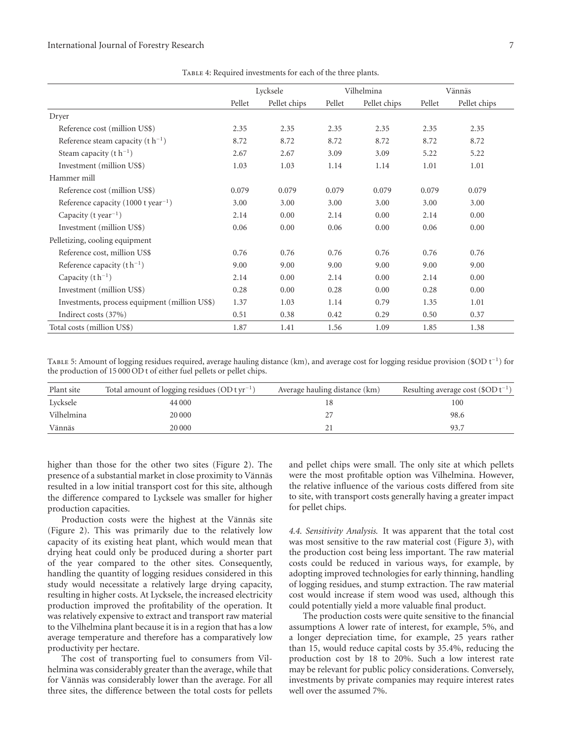|                                                   | Lycksele |              | Vilhelmina |              | Vännäs |              |
|---------------------------------------------------|----------|--------------|------------|--------------|--------|--------------|
|                                                   | Pellet   | Pellet chips | Pellet     | Pellet chips | Pellet | Pellet chips |
| Dryer                                             |          |              |            |              |        |              |
| Reference cost (million US\$)                     | 2.35     | 2.35         | 2.35       | 2.35         | 2.35   | 2.35         |
| Reference steam capacity (t $h^{-1}$ )            | 8.72     | 8.72         | 8.72       | 8.72         | 8.72   | 8.72         |
| Steam capacity (t $h^{-1}$ )                      | 2.67     | 2.67         | 3.09       | 3.09         | 5.22   | 5.22         |
| Investment (million US\$)                         | 1.03     | 1.03         | 1.14       | 1.14         | 1.01   | 1.01         |
| Hammer mill                                       |          |              |            |              |        |              |
| Reference cost (million US\$)                     | 0.079    | 0.079        | 0.079      | 0.079        | 0.079  | 0.079        |
| Reference capacity $(1000$ t year <sup>-1</sup> ) | 3.00     | 3.00         | 3.00       | 3.00         | 3.00   | 3.00         |
| Capacity (t year <sup>-1</sup> )                  | 2.14     | 0.00         | 2.14       | 0.00         | 2.14   | 0.00         |
| Investment (million US\$)                         | 0.06     | 0.00         | 0.06       | 0.00         | 0.06   | 0.00         |
| Pelletizing, cooling equipment                    |          |              |            |              |        |              |
| Reference cost, million US\$                      | 0.76     | 0.76         | 0.76       | 0.76         | 0.76   | 0.76         |
| Reference capacity $(th^{-1})$                    | 9.00     | 9.00         | 9.00       | 9.00         | 9.00   | 9.00         |
| Capacity $(th^{-1})$                              | 2.14     | 0.00         | 2.14       | 0.00         | 2.14   | 0.00         |
| Investment (million US\$)                         | 0.28     | 0.00         | 0.28       | 0.00         | 0.28   | 0.00         |
| Investments, process equipment (million US\$)     | 1.37     | 1.03         | 1.14       | 0.79         | 1.35   | 1.01         |
| Indirect costs (37%)                              | 0.51     | 0.38         | 0.42       | 0.29         | 0.50   | 0.37         |
| Total costs (million US\$)                        | 1.87     | 1.41         | 1.56       | 1.09         | 1.85   | 1.38         |

TABLE 4: Required investments for each of the three plants.

Table 5: Amount of logging residues required, average hauling distance (km), and average cost for logging residue provision (\$OD t−1) for the production of 15 000 OD t of either fuel pellets or pellet chips.

| Plant site | Total amount of logging residues (OD t $yr^{-1}$ ) | Average hauling distance (km) | Resulting average cost (\$OD $t^{-1}$ ) |
|------------|----------------------------------------------------|-------------------------------|-----------------------------------------|
| Lycksele   | 44 000                                             |                               | 100                                     |
| Vilhelmina | 20 000                                             |                               | 98.6                                    |
| Vännäs     | 20 000                                             |                               | 93.7                                    |
|            |                                                    |                               |                                         |

higher than those for the other two sites (Figure 2). The presence of a substantial market in close proximity to Vännäs resulted in a low initial transport cost for this site, although the difference compared to Lycksele was smaller for higher production capacities.

Production costs were the highest at the Vännäs site (Figure 2). This was primarily due to the relatively low capacity of its existing heat plant, which would mean that drying heat could only be produced during a shorter part of the year compared to the other sites. Consequently, handling the quantity of logging residues considered in this study would necessitate a relatively large drying capacity, resulting in higher costs. At Lycksele, the increased electricity production improved the profitability of the operation. It was relatively expensive to extract and transport raw material to the Vilhelmina plant because it is in a region that has a low average temperature and therefore has a comparatively low productivity per hectare.

The cost of transporting fuel to consumers from Vilhelmina was considerably greater than the average, while that for Vännäs was considerably lower than the average. For all three sites, the difference between the total costs for pellets and pellet chips were small. The only site at which pellets were the most profitable option was Vilhelmina. However, the relative influence of the various costs differed from site to site, with transport costs generally having a greater impact for pellet chips.

*4.4. Sensitivity Analysis.* It was apparent that the total cost was most sensitive to the raw material cost (Figure 3), with the production cost being less important. The raw material costs could be reduced in various ways, for example, by adopting improved technologies for early thinning, handling of logging residues, and stump extraction. The raw material cost would increase if stem wood was used, although this could potentially yield a more valuable final product.

The production costs were quite sensitive to the financial assumptions A lower rate of interest, for example, 5%, and a longer depreciation time, for example, 25 years rather than 15, would reduce capital costs by 35.4%, reducing the production cost by 18 to 20%. Such a low interest rate may be relevant for public policy considerations. Conversely, investments by private companies may require interest rates well over the assumed 7%.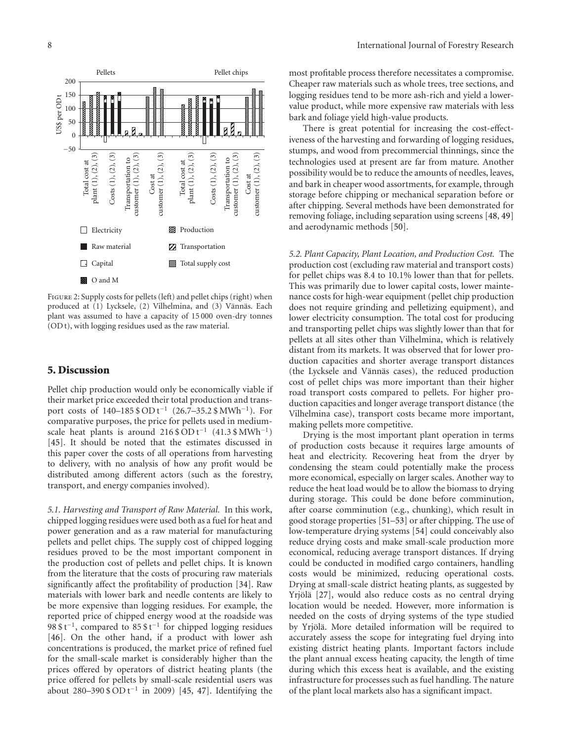

FIGURE 2: Supply costs for pellets (left) and pellet chips (right) when produced at (1) Lycksele, (2) Vilhelmina, and (3) Vännäs. Each plant was assumed to have a capacity of 15 000 oven-dry tonnes (OD t), with logging residues used as the raw material.

## **5. Discussion**

Pellet chip production would only be economically viable if their market price exceeded their total production and transport costs of 140–185 \$ OD t−<sup>1</sup> (26.7–35.2 \$ MWh−1). For comparative purposes, the price for pellets used in mediumscale heat plants is around  $216 \$ \text{OD} \, \text{t}^{-1}$  (41.3 \$ MWh<sup>-1</sup>) [45]. It should be noted that the estimates discussed in this paper cover the costs of all operations from harvesting to delivery, with no analysis of how any profit would be distributed among different actors (such as the forestry, transport, and energy companies involved).

*5.1. Harvesting and Transport of Raw Material.* In this work, chipped logging residues were used both as a fuel for heat and power generation and as a raw material for manufacturing pellets and pellet chips. The supply cost of chipped logging residues proved to be the most important component in the production cost of pellets and pellet chips. It is known from the literature that the costs of procuring raw materials significantly affect the profitability of production [34]. Raw materials with lower bark and needle contents are likely to be more expensive than logging residues. For example, the reported price of chipped energy wood at the roadside was  $98$  \$ t<sup>-1</sup>, compared to  $85$  \$ t<sup>-1</sup> for chipped logging residues [46]. On the other hand, if a product with lower ash concentrations is produced, the market price of refined fuel for the small-scale market is considerably higher than the prices offered by operators of district heating plants (the price offered for pellets by small-scale residential users was about 280–390 \$ OD t<sup>-1</sup> in 2009) [45, 47]. Identifying the

most profitable process therefore necessitates a compromise. Cheaper raw materials such as whole trees, tree sections, and logging residues tend to be more ash-rich and yield a lowervalue product, while more expensive raw materials with less bark and foliage yield high-value products.

There is great potential for increasing the cost-effectiveness of the harvesting and forwarding of logging residues, stumps, and wood from precommercial thinnings, since the technologies used at present are far from mature. Another possibility would be to reduce the amounts of needles, leaves, and bark in cheaper wood assortments, for example, through storage before chipping or mechanical separation before or after chipping. Several methods have been demonstrated for removing foliage, including separation using screens [48, 49] and aerodynamic methods [50].

*5.2. Plant Capacity, Plant Location, and Production Cost.* The production cost (excluding raw material and transport costs) for pellet chips was 8.4 to 10.1% lower than that for pellets. This was primarily due to lower capital costs, lower maintenance costs for high-wear equipment (pellet chip production does not require grinding and pelletizing equipment), and lower electricity consumption. The total cost for producing and transporting pellet chips was slightly lower than that for pellets at all sites other than Vilhelmina, which is relatively distant from its markets. It was observed that for lower production capacities and shorter average transport distances (the Lycksele and Vännäs cases), the reduced production cost of pellet chips was more important than their higher road transport costs compared to pellets. For higher production capacities and longer average transport distance (the Vilhelmina case), transport costs became more important, making pellets more competitive.

Drying is the most important plant operation in terms of production costs because it requires large amounts of heat and electricity. Recovering heat from the dryer by condensing the steam could potentially make the process more economical, especially on larger scales. Another way to reduce the heat load would be to allow the biomass to drying during storage. This could be done before comminution, after coarse comminution (e.g., chunking), which result in good storage properties [51–53] or after chipping. The use of low-temperature drying systems [54] could conceivably also reduce drying costs and make small-scale production more economical, reducing average transport distances. If drying could be conducted in modified cargo containers, handling costs would be minimized, reducing operational costs. Drying at small-scale district heating plants, as suggested by Yrjölä [27], would also reduce costs as no central drying location would be needed. However, more information is needed on the costs of drying systems of the type studied by Yrjölä. More detailed information will be required to accurately assess the scope for integrating fuel drying into existing district heating plants. Important factors include the plant annual excess heating capacity, the length of time during which this excess heat is available, and the existing infrastructure for processes such as fuel handling. The nature of the plant local markets also has a significant impact.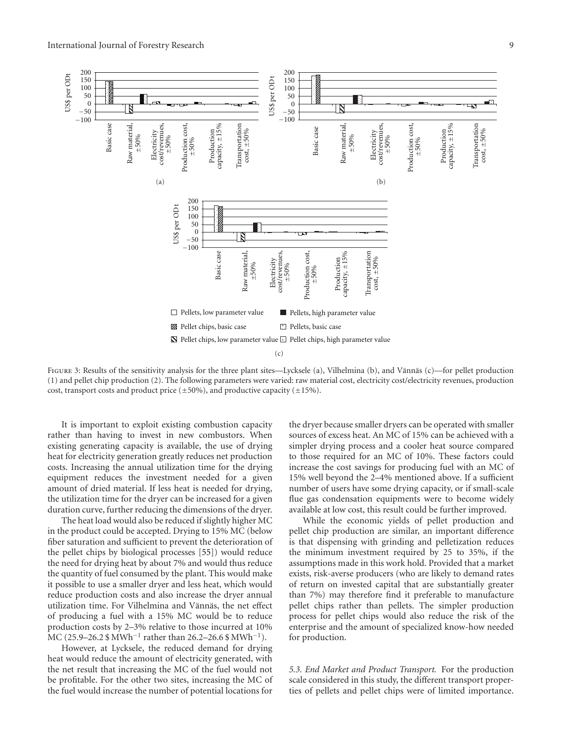

FIGURE 3: Results of the sensitivity analysis for the three plant sites—Lycksele (a), Vilhelmina (b), and Vännäs (c)—for pellet production (1) and pellet chip production (2). The following parameters were varied: raw material cost, electricity cost/electricity revenues, production cost, transport costs and product price ( $\pm 50\%$ ), and productive capacity ( $\pm 15\%$ ).

It is important to exploit existing combustion capacity rather than having to invest in new combustors. When existing generating capacity is available, the use of drying heat for electricity generation greatly reduces net production costs. Increasing the annual utilization time for the drying equipment reduces the investment needed for a given amount of dried material. If less heat is needed for drying, the utilization time for the dryer can be increased for a given duration curve, further reducing the dimensions of the dryer.

The heat load would also be reduced if slightly higher MC in the product could be accepted. Drying to 15% MC (below fiber saturation and sufficient to prevent the deterioration of the pellet chips by biological processes [55]) would reduce the need for drying heat by about 7% and would thus reduce the quantity of fuel consumed by the plant. This would make it possible to use a smaller dryer and less heat, which would reduce production costs and also increase the dryer annual utilization time. For Vilhelmina and Vännäs, the net effect of producing a fuel with a 15% MC would be to reduce production costs by 2–3% relative to those incurred at 10% MC (25.9–26.2 \$ MWh−<sup>1</sup> rather than 26.2–26.6 \$ MWh−1).

However, at Lycksele, the reduced demand for drying heat would reduce the amount of electricity generated, with the net result that increasing the MC of the fuel would not be profitable. For the other two sites, increasing the MC of the fuel would increase the number of potential locations for

the dryer because smaller dryers can be operated with smaller sources of excess heat. An MC of 15% can be achieved with a simpler drying process and a cooler heat source compared to those required for an MC of 10%. These factors could increase the cost savings for producing fuel with an MC of 15% well beyond the 2–4% mentioned above. If a sufficient number of users have some drying capacity, or if small-scale flue gas condensation equipments were to become widely available at low cost, this result could be further improved.

While the economic yields of pellet production and pellet chip production are similar, an important difference is that dispensing with grinding and pelletization reduces the minimum investment required by 25 to 35%, if the assumptions made in this work hold. Provided that a market exists, risk-averse producers (who are likely to demand rates of return on invested capital that are substantially greater than 7%) may therefore find it preferable to manufacture pellet chips rather than pellets. The simpler production process for pellet chips would also reduce the risk of the enterprise and the amount of specialized know-how needed for production.

*5.3. End Market and Product Transport.* For the production scale considered in this study, the different transport properties of pellets and pellet chips were of limited importance.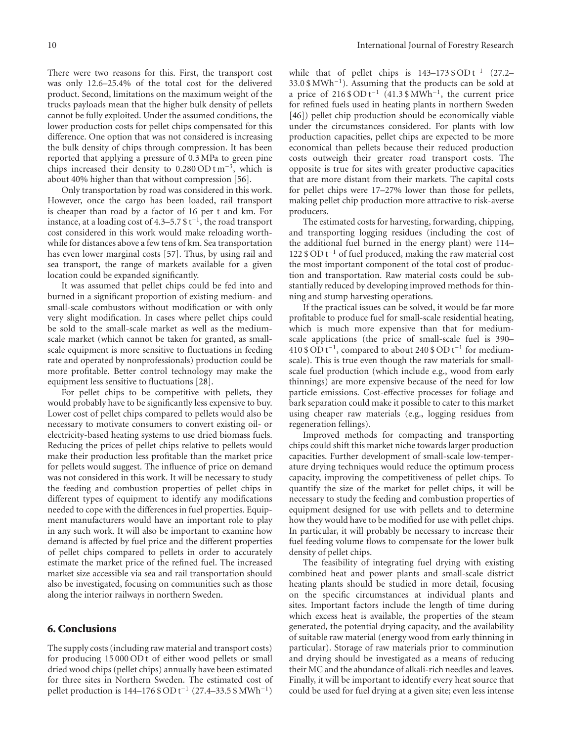There were two reasons for this. First, the transport cost was only 12.6–25.4% of the total cost for the delivered product. Second, limitations on the maximum weight of the trucks payloads mean that the higher bulk density of pellets cannot be fully exploited. Under the assumed conditions, the lower production costs for pellet chips compensated for this difference. One option that was not considered is increasing the bulk density of chips through compression. It has been reported that applying a pressure of 0.3 MPa to green pine chips increased their density to 0.280 OD t m−3, which is about 40% higher than that without compression [56].

Only transportation by road was considered in this work. However, once the cargo has been loaded, rail transport is cheaper than road by a factor of 16 per t and km. For instance, at a loading cost of 4.3–5.7 \$ t−1, the road transport cost considered in this work would make reloading worthwhile for distances above a few tens of km. Sea transportation has even lower marginal costs [57]. Thus, by using rail and sea transport, the range of markets available for a given location could be expanded significantly.

It was assumed that pellet chips could be fed into and burned in a significant proportion of existing medium- and small-scale combustors without modification or with only very slight modification. In cases where pellet chips could be sold to the small-scale market as well as the mediumscale market (which cannot be taken for granted, as smallscale equipment is more sensitive to fluctuations in feeding rate and operated by nonprofessionals) production could be more profitable. Better control technology may make the equipment less sensitive to fluctuations [28].

For pellet chips to be competitive with pellets, they would probably have to be significantly less expensive to buy. Lower cost of pellet chips compared to pellets would also be necessary to motivate consumers to convert existing oil- or electricity-based heating systems to use dried biomass fuels. Reducing the prices of pellet chips relative to pellets would make their production less profitable than the market price for pellets would suggest. The influence of price on demand was not considered in this work. It will be necessary to study the feeding and combustion properties of pellet chips in different types of equipment to identify any modifications needed to cope with the differences in fuel properties. Equipment manufacturers would have an important role to play in any such work. It will also be important to examine how demand is affected by fuel price and the different properties of pellet chips compared to pellets in order to accurately estimate the market price of the refined fuel. The increased market size accessible via sea and rail transportation should also be investigated, focusing on communities such as those along the interior railways in northern Sweden.

# **6. Conclusions**

The supply costs (including raw material and transport costs) for producing 15 000 OD t of either wood pellets or small dried wood chips (pellet chips) annually have been estimated for three sites in Northern Sweden. The estimated cost of pellet production is 144–176 \$ OD t<sup>-1</sup> (27.4–33.5 \$ MWh<sup>-1</sup>)

while that of pellet chips is  $143-173$  \$ OD t<sup>-1</sup> (27.2– 33.0 \$ MWh−1). Assuming that the products can be sold at a price of  $216$  \$ OD t<sup>-1</sup> (41.3 \$ MWh<sup>-1</sup>, the current price for refined fuels used in heating plants in northern Sweden [46]) pellet chip production should be economically viable under the circumstances considered. For plants with low production capacities, pellet chips are expected to be more economical than pellets because their reduced production costs outweigh their greater road transport costs. The opposite is true for sites with greater productive capacities that are more distant from their markets. The capital costs for pellet chips were 17–27% lower than those for pellets, making pellet chip production more attractive to risk-averse producers.

The estimated costs for harvesting, forwarding, chipping, and transporting logging residues (including the cost of the additional fuel burned in the energy plant) were 114– 122 \$ OD t−<sup>1</sup> of fuel produced, making the raw material cost the most important component of the total cost of production and transportation. Raw material costs could be substantially reduced by developing improved methods for thinning and stump harvesting operations.

If the practical issues can be solved, it would be far more profitable to produce fuel for small-scale residential heating, which is much more expensive than that for mediumscale applications (the price of small-scale fuel is 390– 410 \$ OD t−1, compared to about 240 \$ OD t−<sup>1</sup> for mediumscale). This is true even though the raw materials for smallscale fuel production (which include e.g., wood from early thinnings) are more expensive because of the need for low particle emissions. Cost-effective processes for foliage and bark separation could make it possible to cater to this market using cheaper raw materials (e.g., logging residues from regeneration fellings).

Improved methods for compacting and transporting chips could shift this market niche towards larger production capacities. Further development of small-scale low-temperature drying techniques would reduce the optimum process capacity, improving the competitiveness of pellet chips. To quantify the size of the market for pellet chips, it will be necessary to study the feeding and combustion properties of equipment designed for use with pellets and to determine how they would have to be modified for use with pellet chips. In particular, it will probably be necessary to increase their fuel feeding volume flows to compensate for the lower bulk density of pellet chips.

The feasibility of integrating fuel drying with existing combined heat and power plants and small-scale district heating plants should be studied in more detail, focusing on the specific circumstances at individual plants and sites. Important factors include the length of time during which excess heat is available, the properties of the steam generated, the potential drying capacity, and the availability of suitable raw material (energy wood from early thinning in particular). Storage of raw materials prior to comminution and drying should be investigated as a means of reducing their MC and the abundance of alkali-rich needles and leaves. Finally, it will be important to identify every heat source that could be used for fuel drying at a given site; even less intense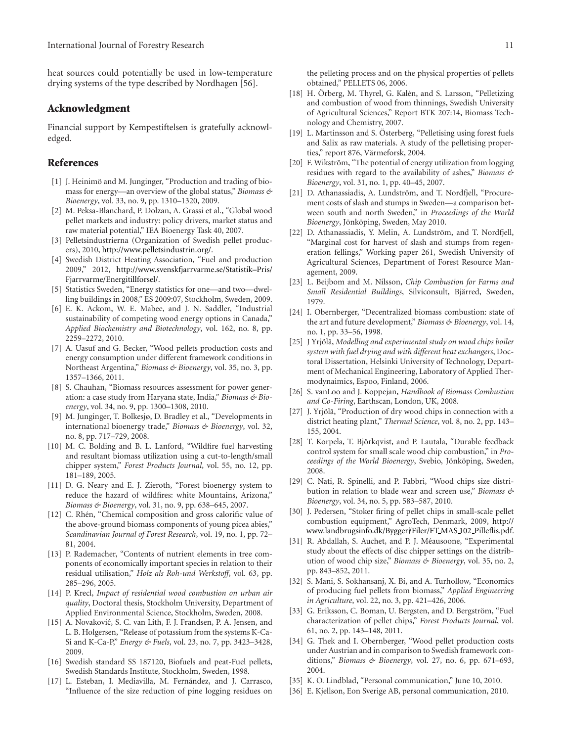heat sources could potentially be used in low-temperature drying systems of the type described by Nordhagen [56].

#### **Acknowledgment**

Financial support by Kempestiftelsen is gratefully acknowledged.

#### **References**

- [1] J. Heinimö and M. Junginger, "Production and trading of biomass for energy—an overview of the global status," *Biomass & Bioenergy*, vol. 33, no. 9, pp. 1310–1320, 2009.
- [2] M. Peksa-Blanchard, P. Dolzan, A. Grassi et al., "Global wood pellet markets and industry: policy drivers, market status and raw material potential," IEA Bioenergy Task 40, 2007.
- [3] Pelletsindustrierna (Organization of Swedish pellet producers), 2010, http://www.pelletsindustrin.org/.
- [4] Swedish District Heating Association, "Fuel and production 2009," 2012, http://www.svenskfjarrvarme.se/Statistik–Pris/ Fjarrvarme/Energitillforsel/.
- [5] Statistics Sweden, "Energy statistics for one—and two—dwelling buildings in 2008," ES 2009:07, Stockholm, Sweden, 2009.
- [6] E. K. Ackom, W. E. Mabee, and J. N. Saddler, "Industrial sustainability of competing wood energy options in Canada," *Applied Biochemistry and Biotechnology*, vol. 162, no. 8, pp. 2259–2272, 2010.
- [7] A. Uasuf and G. Becker, "Wood pellets production costs and energy consumption under different framework conditions in Northeast Argentina," *Biomass & Bioenergy*, vol. 35, no. 3, pp. 1357–1366, 2011.
- [8] S. Chauhan, "Biomass resources assessment for power generation: a case study from Haryana state, India," *Biomass & Bioenergy*, vol. 34, no. 9, pp. 1300–1308, 2010.
- [9] M. Junginger, T. Bolkesjø, D. Bradley et al., "Developments in international bioenergy trade," *Biomass & Bioenergy*, vol. 32, no. 8, pp. 717–729, 2008.
- [10] M. C. Bolding and B. L. Lanford, "Wildfire fuel harvesting and resultant biomass utilization using a cut-to-length/small chipper system," *Forest Products Journal*, vol. 55, no. 12, pp. 181–189, 2005.
- [11] D. G. Neary and E. J. Zieroth, "Forest bioenergy system to reduce the hazard of wildfires: white Mountains, Arizona," *Biomass & Bioenergy*, vol. 31, no. 9, pp. 638–645, 2007.
- [12] C. Rhén, "Chemical composition and gross calorific value of the above-ground biomass components of young picea abies," *Scandinavian Journal of Forest Research*, vol. 19, no. 1, pp. 72– 81, 2004.
- [13] P. Rademacher, "Contents of nutrient elements in tree components of economically important species in relation to their residual utilisation," *Holz als Roh-und Werkstoff*, vol. 63, pp. 285–296, 2005.
- [14] P. Krecl, *Impact of residential wood combustion on urban air quality*, Doctoral thesis, Stockholm University, Department of Applied Environmental Science, Stockholm, Sweden, 2008.
- [15] A. Novaković, S. C. van Lith, F. J. Frandsen, P. A. Jensen, and L. B. Holgersen, "Release of potassium from the systems K-Ca-Si and K-Ca-P," *Energy & Fuels*, vol. 23, no. 7, pp. 3423–3428, 2009.
- [16] Swedish standard SS 187120, Biofuels and peat-Fuel pellets, Swedish Standards Institute, Stockholm, Sweden, 1998.
- [17] L. Esteban, I. Mediavilla, M. Fernández, and J. Carrasco, "Influence of the size reduction of pine logging residues on

the pelleting process and on the physical properties of pellets obtained," PELLETS 06, 2006.

- [18] H. Örberg, M. Thyrel, G. Kalén, and S. Larsson, "Pelletizing and combustion of wood from thinnings, Swedish University of Agricultural Sciences," Report BTK 207:14, Biomass Technology and Chemistry, 2007.
- [19] L. Martinsson and S. Österberg, "Pelletising using forest fuels and Salix as raw materials. A study of the pelletising properties," report 876, Värmeforsk, 2004.
- [20] F. Wikström, "The potential of energy utilization from logging residues with regard to the availability of ashes," *Biomass & Bioenergy*, vol. 31, no. 1, pp. 40–45, 2007.
- [21] D. Athanassiadis, A. Lundström, and T. Nordfiell, "Procurement costs of slash and stumps in Sweden—a comparison between south and north Sweden," in *Proceedings of the World Bioenergy*, Jönköping, Sweden, May 2010.
- [22] D. Athanassiadis, Y. Melin, A. Lundström, and T. Nordfjell, "Marginal cost for harvest of slash and stumps from regeneration fellings," Working paper 261, Swedish University of Agricultural Sciences, Department of Forest Resource Management, 2009.
- [23] L. Beijbom and M. Nilsson, *Chip Combustion for Farms and Small Residential Buildings*, Silviconsult, Bjarred, Sweden, ¨ 1979.
- [24] I. Obernberger, "Decentralized biomass combustion: state of the art and future development," *Biomass & Bioenergy*, vol. 14, no. 1, pp. 33–56, 1998.
- [25] J Yrjölä, Modelling and experimental study on wood chips boiler *system with fuel drying and with different heat exchangers*, Doctoral Dissertation, Helsinki University of Technology, Department of Mechanical Engineering, Laboratory of Applied Thermodynaimics, Espoo, Finland, 2006.
- [26] S. vanLoo and J. Koppejan, *Handbook of Biomass Combustion and Co-Firing*, Earthscan, London, UK, 2008.
- [27] J. Yrjölä, "Production of dry wood chips in connection with a district heating plant," *Thermal Science*, vol. 8, no. 2, pp. 143– 155, 2004.
- [28] T. Korpela, T. Björkqvist, and P. Lautala, "Durable feedback control system for small scale wood chip combustion," in *Proceedings of the World Bioenergy*, Svebio, Jönköping, Sweden, 2008.
- [29] C. Nati, R. Spinelli, and P. Fabbri, "Wood chips size distribution in relation to blade wear and screen use," *Biomass & Bioenergy*, vol. 34, no. 5, pp. 583–587, 2010.
- [30] J. Pedersen, "Stoker firing of pellet chips in small-scale pellet combustion equipment," AgroTech, Denmark, 2009, http:// www.landbrugsinfo.dk/Byggeri/Filer/FT MAS 102 Pilleflis.pdf.
- [31] R. Abdallah, S. Auchet, and P. J. Méausoone, "Experimental study about the effects of disc chipper settings on the distribution of wood chip size," *Biomass & Bioenergy*, vol. 35, no. 2, pp. 843–852, 2011.
- [32] S. Mani, S. Sokhansanj, X. Bi, and A. Turhollow, "Economics" of producing fuel pellets from biomass," *Applied Engineering in Agriculture*, vol. 22, no. 3, pp. 421–426, 2006.
- [33] G. Eriksson, C. Boman, U. Bergsten, and D. Bergström, "Fuel characterization of pellet chips," *Forest Products Journal*, vol. 61, no. 2, pp. 143–148, 2011.
- [34] G. Thek and I. Obernberger, "Wood pellet production costs under Austrian and in comparison to Swedish framework conditions," *Biomass & Bioenergy*, vol. 27, no. 6, pp. 671–693, 2004.
- [35] K. O. Lindblad, "Personal communication," June 10, 2010.
- [36] E. Kjellson, Eon Sverige AB, personal communication, 2010.